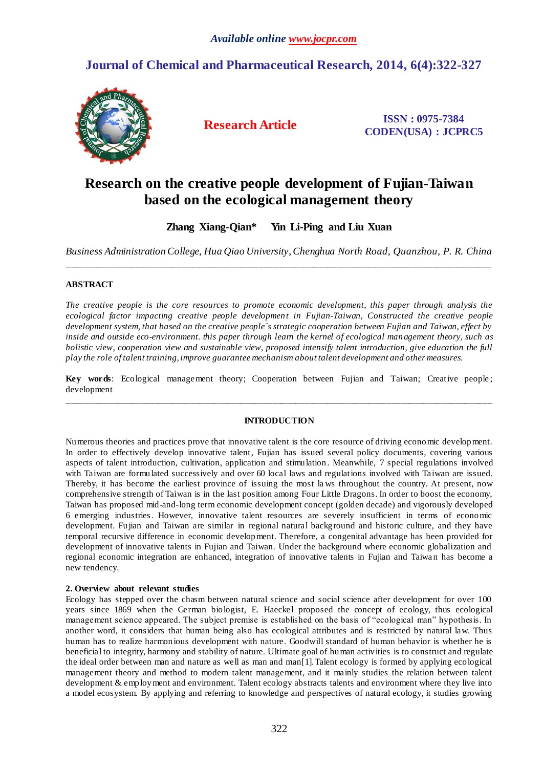# **Journal of Chemical and Pharmaceutical Research, 2014, 6(4):322-327**



**Research Article ISSN : 0975-7384 CODEN(USA) : JCPRC5**

# **Research on the creative people development of Fujian-Taiwan based on the ecological management theory**

**Zhang Xiang-Qian\* Yin Li-Ping and Liu Xuan**

*Business Administration College, Hua Qiao University, Chenghua North Road, Quanzhou, P. R. China* \_\_\_\_\_\_\_\_\_\_\_\_\_\_\_\_\_\_\_\_\_\_\_\_\_\_\_\_\_\_\_\_\_\_\_\_\_\_\_\_\_\_\_\_\_\_\_\_\_\_\_\_\_\_\_\_\_\_\_\_\_\_\_\_\_\_\_\_\_\_\_\_\_\_\_\_\_\_\_\_\_\_\_\_\_\_\_\_\_\_\_\_\_

# **ABSTRACT**

*The creative people is the core resources to promote economic development, this paper through analysis the ecological factor impacting creative people development in Fujian-Taiwan, Constructed the creative people development system, that based on the creative people`s strategic cooperation between Fujian and Taiwan, effect by inside and outside eco-environment. this paper through learn the kernel of ecological management theory, such as holistic view, cooperation view and sustainable view, proposed intensify talent introduction, give education the full play the role of talent training, improve guarantee mechanism about talent development and other measures.*

**Key words**: Ecological management theory; Cooperation between Fujian and Taiwan; Creative people; development \_\_\_\_\_\_\_\_\_\_\_\_\_\_\_\_\_\_\_\_\_\_\_\_\_\_\_\_\_\_\_\_\_\_\_\_\_\_\_\_\_\_\_\_\_\_\_\_\_\_\_\_\_\_\_\_\_\_\_\_\_\_\_\_\_\_\_\_\_\_\_\_\_\_\_\_\_\_\_\_\_\_\_\_\_\_\_\_\_\_\_\_\_

# **INTRODUCTION**

Numerous theories and practices prove that innovative talent is the core resource of driving economic development. In order to effectively develop innovative talent, Fujian has issued several policy documents, covering various aspects of talent introduction, cultivation, application and stimulation. Meanwhile, 7 special regulations involved with Taiwan are formulated successively and over 60 local laws and regulations involved with Taiwan are issued. Thereby, it has become the earliest province of issuing the most la ws throughout the country. At present, now comprehensive strength of Taiwan is in the last position among Four Little Dragons. In order to boost the economy, Taiwan has proposed mid-and-long term economic development concept (golden decade) and vigorously developed 6 emerging industries. However, innovative talent resources are severely insufficient in terms of economic development. Fujian and Taiwan are similar in regional natural background and historic culture, and they have temporal recursive difference in economic development. Therefore, a congenital advantage has been provided for development of innovative talents in Fujian and Taiwan. Under the background where economic globalization and regional economic integration are enhanced, integration of innovative talents in Fujian and Taiwan has become a new tendency.

## **2. Overview about relevant studies**

Ecology has stepped over the chasm between natural science and social science after development for over 100 years since 1869 when the German biologist, E. Haeckel proposed the concept of ecology, thus ecological management science appeared. The subject premise is established on the basis of "ecological man" hypothesis. In another word, it considers that human being also has ecological attributes and is restricted by natural law. Thus human has to realize harmonious development with nature. Goodwill standard of human behavior is whether he is beneficial to integrity, harmony and stability of nature. Ultimate goal of human activities is to construct and regulate the ideal order between man and nature as well as man and man[1].Talent ecology is formed by applying ecological management theory and method to modern talent management, and it mainly studies the relation between talent development & employment and environment. Talent ecology abstracts talents and environment where they live into a model ecosystem. By applying and referring to knowledge and perspectives of natural ecology, it studies growing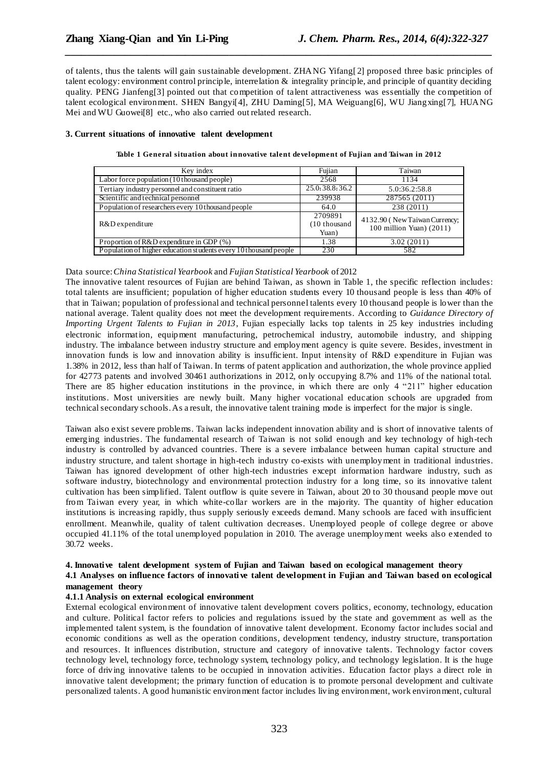of talents, thus the talents will gain sustainable development. ZHANG Yifang[ 2] proposed three basic principles of talent ecology: environment control principle, interrelation & integrality principle, and principle of quantity deciding quality. PENG Jianfeng[3] pointed out that competition of talent attractiveness was essentially the competition of talent ecological environment. SHEN Bangyi[4], ZHU Daming[5], MA Weiguang[6], WU Jiangxing[7], HUANG Mei and WU Guowei[8] etc., who also carried out related research.

*\_\_\_\_\_\_\_\_\_\_\_\_\_\_\_\_\_\_\_\_\_\_\_\_\_\_\_\_\_\_\_\_\_\_\_\_\_\_\_\_\_\_\_\_\_\_\_\_\_\_\_\_\_\_\_\_\_\_\_\_\_\_\_\_\_\_\_\_\_\_\_\_\_\_\_\_\_\_*

#### **3. Current situations of innovative talent development**

| Key index                                                        | Fujian                           | Taiwan                                                    |  |  |
|------------------------------------------------------------------|----------------------------------|-----------------------------------------------------------|--|--|
| Labor force population $(10$ thousand people)                    | 2568                             | 1134                                                      |  |  |
| Tertiary industry personnel and constituent ratio                | 25.0:38.8:36.2                   | 5.0:36.2:58.8                                             |  |  |
| Scientific and technical personnel                               | 239938                           | 287565 (2011)                                             |  |  |
| Population of researchers every 10 thousand people               | 64.0                             | 238 (2011)                                                |  |  |
| R&D expenditure                                                  | 2709891<br>(10 thousand<br>Yuan) | 4132.90 (New Taiwan Currency;<br>100 million Yuan) (2011) |  |  |
| Proportion of $R&D$ expenditure in GDP $(\%)$                    | 1.38                             | 3.02(2011)                                                |  |  |
| Population of higher education students every 10 thousand people | 230                              | 582                                                       |  |  |

|  | Table 1 General situation about innovative talent development of Fujian and Taiwan in 2012 |  |  |  |  |  |
|--|--------------------------------------------------------------------------------------------|--|--|--|--|--|
|  |                                                                                            |  |  |  |  |  |

Data source: *China Statistical Yearbook* and *Fujian Statistical Yearbook* of 2012

The innovative talent resources of Fujian are behind Taiwan, as shown in Table 1, the specific reflection includes: total talents are insufficient; population of higher education students every 10 thousand people is less than 40% of that in Taiwan; population of professional and technical personnel talents every 10 thousand people is lower than the national average. Talent quality does not meet the development requirements. According to *Guidance Directory of Importing Urgent Talents to Fujian in 2013*, Fujian especially lacks top talents in 25 key industries including electronic information, equipment manufacturing, petrochemical industry, automobile industry, and shipping industry. The imbalance between industry structure and employment agency is quite severe. Besides, investment in innovation funds is low and innovation ability is insufficient. Input intensity of R&D expenditure in Fujian was 1.38% in 2012, less than half of Taiwan. In terms of patent application and authorization, the whole province applied for 42773 patents and involved 30461 authorizations in 2012, only occupying 8.7% and 11% of the national total. There are 85 higher education institutions in the province, in which there are only 4 "211" higher education institutions. Most universities are newly built. Many higher vocational education schools are upgraded from technical secondary schools. As a result, the innovative talent training mode is imperfect for the major is single.

Taiwan also exist severe problems. Taiwan lacks independent innovation ability and is short of innovative talents of emerging industries. The fundamental research of Taiwan is not solid enough and key technology of high-tech industry is controlled by advanced countries. There is a severe imbalance between human capital structure and industry structure, and talent shortage in high-tech industry co-exists with unemployment in traditional industries. Taiwan has ignored development of other high-tech industries except information hardware industry, such as software industry, biotechnology and environmental protection industry for a long time, so its innovative talent cultivation has been simplified. Talent outflow is quite severe in Taiwan, about 20 to 30 thousand people move out from Taiwan every year, in which white-collar workers are in the majority. The quantity of higher education institutions is increasing rapidly, thus supply seriously exceeds demand. Many schools are faced with insufficient enrollment. Meanwhile, quality of talent cultivation decreases. Unemployed people of college degree or above occupied 41.11% of the total unemployed population in 2010. The average unemployment weeks also extended to 30.72 weeks.

#### **4. Innovative talent development system of Fujian and Taiwan based on ecological management theory 4.1 Analyses on influence factors of innovati ve talent development in Fujian and Taiwan based on ecological management theory**

## **4.1.1 Analysis on external ecological environment**

External ecological environment of innovative talent development covers politics, economy, technology, education and culture. Political factor refers to policies and regulations issued by the state and government as well as the implemented talent system, is the foundation of innovative talent development. Economy factor includes social and economic conditions as well as the operation conditions, development tendency, industry structure, transportation and resources. It influences distribution, structure and category of innovative talents. Technology factor covers technology level, technology force, technology system, technology policy, and technology legislation. It is the huge force of driving innovative talents to be occupied in innovation activities. Education factor plays a direct role in innovative talent development; the primary function of education is to promote personal development and cultivate personalized talents. A good humanistic environment factor includes living environment, work environment, cultural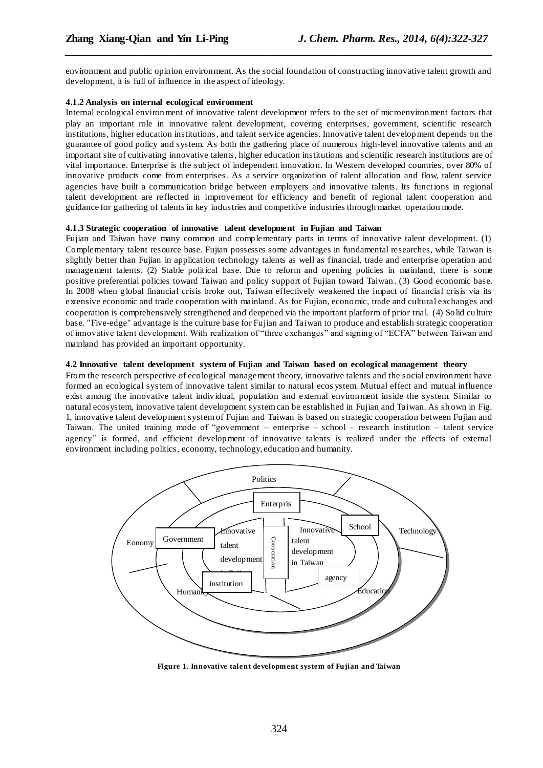environment and public opinion environment. As the social foundation of constructing innovative talent growth and development, it is full of influence in the aspect of ideology.

*\_\_\_\_\_\_\_\_\_\_\_\_\_\_\_\_\_\_\_\_\_\_\_\_\_\_\_\_\_\_\_\_\_\_\_\_\_\_\_\_\_\_\_\_\_\_\_\_\_\_\_\_\_\_\_\_\_\_\_\_\_\_\_\_\_\_\_\_\_\_\_\_\_\_\_\_\_\_*

#### **4.1.2 Analysis on internal ecological environment**

Internal ecological environment of innovative talent development refers to the set of microenvironment factors that play an important role in innovative talent development, covering enterprises, government, scientific research institutions, higher education institutions, and talent service agencies. Innovative talent development depends on the guarantee of good policy and system. As both the gathering place of numerous high-level innovative talents and an important site of cultivating innovative talents, higher education institutions and scientific research institutions are of vital importance. Enterprise is the subject of independent innovation. In Western developed countries, over 80% of innovative products come from enterprises. As a service organization of talent allocation and flow, talent service agencies have built a communication bridge between employers and innovative talents. Its functions in regional talent development are reflected in improvement for efficiency and benefit of regional talent cooperation and guidance for gathering of talents in key industries and competitive industries through market operation mode.

#### **4.1.3 Strategic cooperation of innovative talent development in Fujian and Taiwan**

Fujian and Taiwan have many common and complementary parts in terms of innovative talent development. (1) Complementary talent resource base. Fujian possesses some advantages in fundamental researches, while Taiwan is slightly better than Fujian in application technology talents as well as financial, trade and enterprise operation and management talents. (2) Stable political base. Due to reform and opening policies in mainland, there is some positive preferential policies toward Taiwan and policy support of Fujian toward Taiwan . (3) Good economic base. In 2008 when global financial crisis broke out, Taiwan effectively weakened the impact of financial crisis via its extensive economic and trade cooperation with mainland. As for Fujian, economic, trade and cultural exchanges and cooperation is comprehensively strengthened and deepened via the important platform of prior trial. (4) Solid culture base. "Five-edge" advantage is the culture base for Fujian and Taiwan to produce and establish strategic cooperation of innovative talent development. With realization of "three exchanges" and signing of "ECFA" between Taiwan and mainland has provided an important opportunity.

#### **4.2 Innovative talent development system of Fujian and Taiwan based on ecological management theory**

From the research perspective of ecological management theory, innovative talents and the social environment have formed an ecological system of innovative talent similar to natural ecos ystem. Mutual effect and mutual influence exist among the innovative talent individual, population and external environment inside the system. Similar to natural ecosystem, innovative talent development system can be established in Fujian and Taiwan. As sh own in Fig. 1, innovative talent development system of Fujian and Taiwan is based on strategic cooperation between Fujian and Taiwan. The united training mode of "government – enterprise – school – research institution – talent service agency" is formed, and efficient development of innovative talents is realized under the effects of external environment including politics, economy, technology, education and humanity.



**Figure 1. Innovative talent development system of Fujian and Taiwan**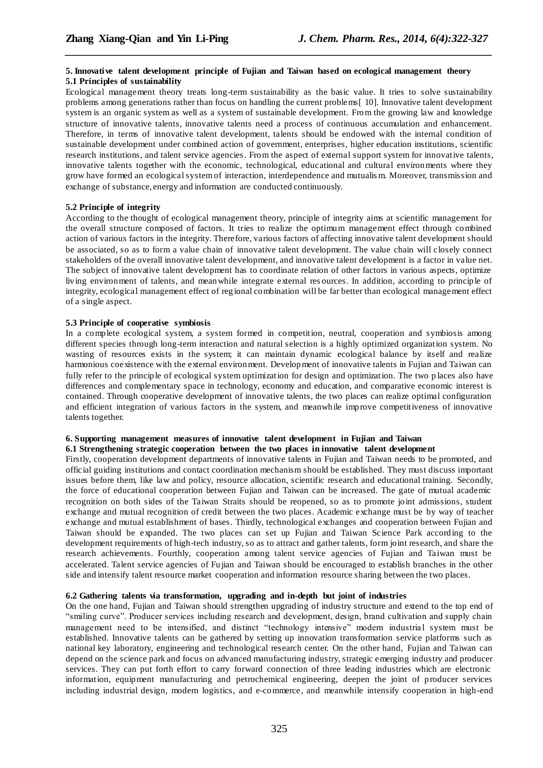#### **5. Innovative talent development principle of Fujian and Taiwan based on ecological management theory 5.1 Principles of sustainability**

*\_\_\_\_\_\_\_\_\_\_\_\_\_\_\_\_\_\_\_\_\_\_\_\_\_\_\_\_\_\_\_\_\_\_\_\_\_\_\_\_\_\_\_\_\_\_\_\_\_\_\_\_\_\_\_\_\_\_\_\_\_\_\_\_\_\_\_\_\_\_\_\_\_\_\_\_\_\_*

Ecological management theory treats long-term sustainability as the basic value. It tries to solve sustainability problems among generations rather than focus on handling the current problems[ 10]. Innovative talent development system is an organic system as well as a system of sustainable development. From the growing law and knowledge structure of innovative talents, innovative talents need a process of continuous accumulation and enhancement. Therefore, in terms of innovative talent development, talents should be endowed with the internal condition of sustainable development under combined action of government, enterprises, higher education institutions, scientific research institutions, and talent service agencies. From the aspect of external support system for innovative talents, innovative talents together with the economic, technological, educational and cultural environments where they grow have formed an ecological system of interaction, interdependence and mutualis m. Moreover, transmission and exchange of substance, energy and information are conducted continuously.

#### **5.2 Principle of integrity**

According to the thought of ecological management theory, principle of integrity aims at scientific management for the overall structure composed of factors. It tries to realize the optimum management effect through combined action of various factors in the integrity. Therefore, various factors of affecting innovative talent development should be associated, so as to form a value chain of innovative talent development. The value chain will closely connect stakeholders of the overall innovative talent development, and innovative talent development is a factor in value net. The subject of innovative talent development has to coordinate relation of other factors in various aspects, optimize living environment of talents, and meanwhile integrate external res ources. In addition, according to principle of integrity, ecological management effect of regional combination will be far better than ecological management effect of a single aspect.

#### **5.3 Principle of cooperative symbiosis**

In a complete ecological system, a system formed in competition, neutral, cooperation and symbiosis among different species through long-term interaction and natural selection is a highly optimized organization system. No wasting of resources exists in the system; it can maintain dynamic ecological balance by itself and realize harmonious coexistence with the external environment. Development of innovative talents in Fujian and Taiwan can fully refer to the principle of ecological system optimization for design and optimization. The two p laces also have differences and complementary space in technology, economy and education, and comparative economic interest is contained. Through cooperative development of innovative talents, the two places can realize optimal configuration and efficient integration of various factors in the system, and meanwhile improve competitiveness of innovative talents together.

# **6. Supporting management measures of innovative talent development in Fujian and Taiwan**

# **6.1 Strengthening strategic cooperation between the two places in innovative talent development**

Firstly, cooperation development departments of innovative talents in Fujian and Taiwan needs to be promoted, and official guiding institutions and contact coordination mechanism should be established. They must discuss important issues before them, like law and policy, resource allocation, scientific research and educational training. Secondly, the force of educational cooperation between Fujian and Taiwan can be increased. The gate of mutual academic recognition on both sides of the Taiwan Straits should be reopened, so as to promote joint admissions, student exchange and mutual recognition of credit between the two places. Academic exchange must be by way of teacher exchange and mutual establishment of bases. Thirdly, technological exchanges and cooperation between Fujian and Taiwan should be expanded. The two places can set up Fujian and Taiwan Science Park according to the development requirements of high-tech industry, so as to attract and gather talents, form joint research, and share the research achievements. Fourthly, cooperation among talent service agencies of Fujian and Taiwan must be accelerated. Talent service agencies of Fujian and Taiwan should be encouraged to establish branches in the other side and intensify talent resource market cooperation and information resource sharing between the two places.

#### **6.2 Gathering talents via transformation, upgrading and in-depth but joint of industries**

On the one hand, Fujian and Taiwan should strengthen upgrading of industry structure and extend to the top end of "smiling curve". Producer services including research and development, design, brand cultivation and supply chain management need to be intensified, and distinct "technology intensive" modern industria l system must be established. Innovative talents can be gathered by setting up innovation transformation service platforms such as national key laboratory, engineering and technological research center. On the other hand, Fujian and Taiwan can depend on the science park and focus on advanced manufacturing industry, strategic emerging industry and producer services. They can put forth effort to carry forward connection of three leading industries which are electronic information, equipment manufacturing and petrochemical engineering, deepen the joint of producer services including industrial design, modern logistics, and e-commerce, and meanwhile intensify cooperation in high-end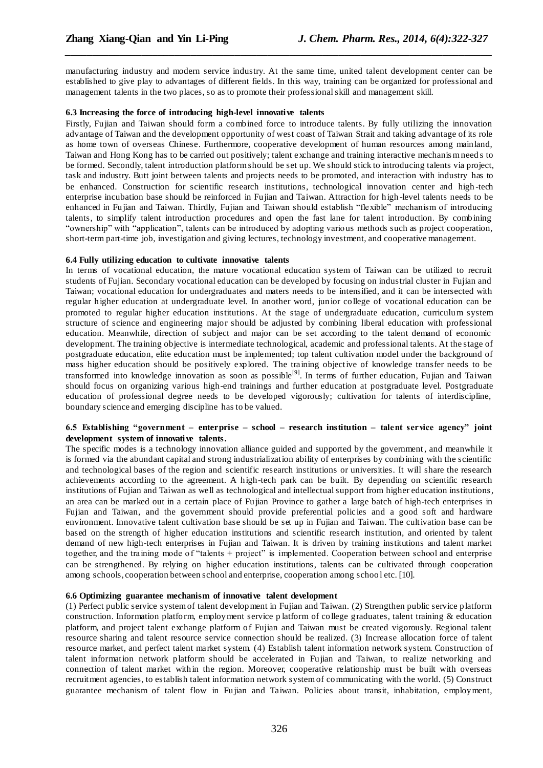manufacturing industry and modern service industry. At the same time, united talent development center can be established to give play to advantages of different fields. In this way, training can be organized for professional and management talents in the two places, so as to promote their professional skill and management skill.

*\_\_\_\_\_\_\_\_\_\_\_\_\_\_\_\_\_\_\_\_\_\_\_\_\_\_\_\_\_\_\_\_\_\_\_\_\_\_\_\_\_\_\_\_\_\_\_\_\_\_\_\_\_\_\_\_\_\_\_\_\_\_\_\_\_\_\_\_\_\_\_\_\_\_\_\_\_\_*

#### **6.3 Increasing the force of introducing high-level innovative talents**

Firstly, Fujian and Taiwan should form a combined force to introduce talents. By fully utilizing the innovation advantage of Taiwan and the development opportunity of west coast of Taiwan Strait and taking advantage of its role as home town of overseas Chinese. Furthermore, cooperative development of human resources among mainland, Taiwan and Hong Kong has to be carried out positively; talent exchange and training interactive mechanis m need s to be formed. Secondly, talent introduction platform should be set up. We should stick to introducing talents via project, task and industry. Butt joint between talents and projects needs to be promoted, and interaction with industry has to be enhanced. Construction for scientific research institutions, technological innovation center and high -tech enterprise incubation base should be reinforced in Fujian and Taiwan. Attraction for high -level talents needs to be enhanced in Fujian and Taiwan. Thirdly, Fujian and Taiwan should establish "flexible" mechanism of introducing talents, to simplify talent introduction procedures and open the fast lane for talent introduction. By combining "ownership" with "application", talents can be introduced by adopting various methods such as project cooperation, short-term part-time job, investigation and giving lectures, technology investment, and cooperative management.

#### **6.4 Fully utilizing education to cultivate innovative talents**

In terms of vocational education, the mature vocational education system of Taiwan can be utilized to recruit students of Fujian. Secondary vocational education can be developed by focusing on industrial cluster in Fujian and Taiwan; vocational education for undergraduates and maters needs to be intensified, and it can be intersected with regular higher education at undergraduate level. In another word, junior college of vocational education can be promoted to regular higher education institutions. At the stage of undergraduate education, curriculum system structure of science and engineering major should be adjusted by combining liberal education with professional education. Meanwhile, direction of subject and major can be set according to the talent demand of economic development. The training objective is intermediate technological, academic and professional talents. At the stage of postgraduate education, elite education must be implemented; top talent cultivation model under the background of mass higher education should be positively explored. The training objective of knowledge transfer needs to be transformed into knowledge innovation as soon as possible<sup>[9]</sup>. In terms of further education, Fujian and Taiwan should focus on organizing various high-end trainings and further education at postgraduate level. Postgraduate education of professional degree needs to be developed vigorously; cultivation for talents of interdiscipline, boundary science and emerging discipline has to be valued.

# **6.5 Establishing "government – enterprise – school – research institution – talent service agency" joint development system of innovative talents.**

The specific modes is a technology innovation alliance guided and supported by the government , and meanwhile it is formed via the abundant capital and strong industrialization ability of enterprises by combining with the scientific and technological bases of the region and scientific research institutions or universities. It will share the research achievements according to the agreement. A high-tech park can be built. By depending on scientific research institutions of Fujian and Taiwan as well as technological and intellectual support from higher education institutions, an area can be marked out in a certain place of Fujian Province to gather a large batch of high-tech enterprises in Fujian and Taiwan, and the government should provide preferential policies and a good soft and hardware environment. Innovative talent cultivation base should be set up in Fujian and Taiwan. The cultivation base can be based on the strength of higher education institutions and scientific research institution, and oriented by talent demand of new high-tech enterprises in Fujian and Taiwan. It is driven by training institutions and talent market together, and the training mode of "talents + project" is implemented. Cooperation between school and enterprise can be strengthened. By relying on higher education institutions, talents can be cultivated through cooperation among schools, cooperation between school and enterprise, cooperation among schoo l etc. [10].

#### **6.6 Optimizing guarantee mechanism of innovative talent development**

(1) Perfect public service system of talent development in Fujian and Taiwan. (2) Strengthen public service platform construction. Information platform, employment service p latform of college graduates, talent training & education platform, and project talent exchange platform of Fujian and Taiwan must be created vigorously. Regional talent resource sharing and talent resource service connection should be realized. (3) Increase allocation force of talent resource market, and perfect talent market system. (4) Establish talent information network system. Construction of talent information network platform should be accelerated in Fujian and Taiwan, to realize networking and connection of talent market within the region. Moreover, cooperative relationship must be built with overseas recruitment agencies, to establish talent information network system of communicating with the world. (5) Construct guarantee mechanism of talent flow in Fujian and Taiwan. Policies about transit, inhabitation, employment,